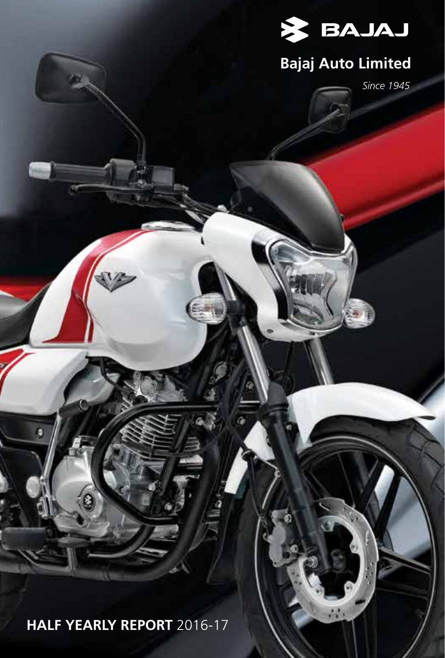

# **Bajaj Auto Limited**

W)

*Since 1945*

**HALF YEARLY REPORT** 2016-17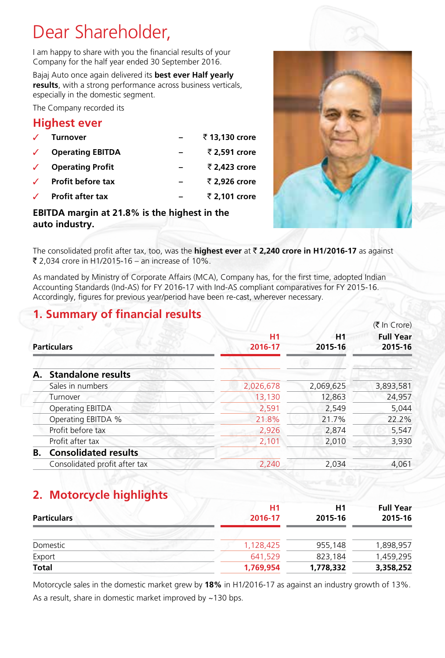## Dear Shareholder,

I am happy to share with you the financial results of your Company for the half year ended 30 September 2016.

Bajaj Auto once again delivered its **best ever Half yearly results**, with a strong performance across business verticals, especially in the domestic segment.

The Company recorded its

#### **Highest ever**

| <b>Turnover</b>          | ₹13,130 crore |
|--------------------------|---------------|
| <b>Operating EBITDA</b>  | ₹ 2.591 crore |
| <b>Operating Profit</b>  | ₹ 2.423 crore |
| <b>Profit before tax</b> | ₹ 2.926 crore |
| <b>Profit after tax</b>  | ₹ 2.101 crore |
|                          |               |

#### **EBITDA margin at 21.8% is the highest in the auto industry.**



The consolidated profit after tax, too, was the **highest ever** at ` **2,240 crore in H1/2016-17** as against ₹ 2,034 crore in H1/2015-16 – an increase of 10%.

As mandated by Ministry of Corporate Affairs (MCA), Company has, for the first time, adopted Indian Accounting Standards (Ind-AS) for FY 2016-17 with Ind-AS compliant comparatives for FY 2015-16. Accordingly, figures for previous year/period have been re-cast, wherever necessary.

#### **1. Summary of financial results**

|    |                               |                      |                           | $(3 \nvert n \text{ C}$ rore) |
|----|-------------------------------|----------------------|---------------------------|-------------------------------|
|    | <b>Particulars</b>            | <b>H1</b><br>2016-17 | H <sub>1</sub><br>2015-16 | <b>Full Year</b><br>2015-16   |
|    | A. Standalone results         |                      |                           |                               |
|    | Sales in numbers              | 2,026,678            | 2,069,625                 | 3,893,581                     |
|    | Turnover                      | 13,130               | 12,863                    | 24,957                        |
|    | Operating EBITDA              | 2,591                | 2,549                     | 5,044                         |
|    | Operating EBITDA %            | 21.8%                | 21.7%                     | 22.2%                         |
|    | Profit before tax             | 2,926                | 2,874                     | 5,547                         |
|    | Profit after tax              | 2,101                | 2,010                     | 3,930                         |
| В. | <b>Consolidated results</b>   |                      |                           |                               |
|    | Consolidated profit after tax | 2,240                | 2,034                     | 4,061                         |
|    |                               |                      |                           |                               |

### **2. Motorcycle highlights**

| <b>Particulars</b> | <b>H1</b><br>2016-17 | H1<br>2015-16 | <b>Full Year</b><br>2015-16 |
|--------------------|----------------------|---------------|-----------------------------|
| Domestic           | 1,128,425            | 955,148       | 1,898,957                   |
| Export             | 641.529              | 823,184       | 1,459,295                   |
| Total              | 1,769,954            | 1,778,332     | 3,358,252                   |

Motorcycle sales in the domestic market grew by **18%** in H1/2016-17 as against an industry growth of 13%. As a result, share in domestic market improved by ~130 bps.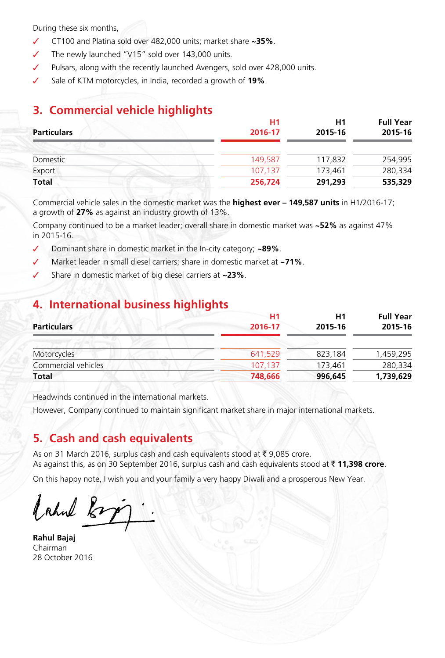During these six months,

- ✓ CT100 and Platina sold over 482,000 units; market share **~35%**.
- The newly launched "V15" sold over 143,000 units.
- Pulsars, along with the recently launched Avengers, sold over 428,000 units.
- Sale of KTM motorcycles, in India, recorded a growth of **19%**.

### **3. Commercial vehicle highlights**

| H1<br>2016-17 | H1<br>2015-16 | <b>Full Year</b><br>2015-16 |
|---------------|---------------|-----------------------------|
|               |               |                             |
| 149,587       | 117.832       | 254,995                     |
| 107.137       | 173,461       | 280,334                     |
| 256,724       | 291,293       | 535,329                     |
|               |               |                             |

Commercial vehicle sales in the domestic market was the **highest ever – 149,587 units** in H1/2016-17; a growth of **27%** as against an industry growth of 13%.

Company continued to be a market leader; overall share in domestic market was **~52%** as against 47% in 2015-16.

- ✓ Dominant share in domestic market in the In-city category; **~89%**.
- Market leader in small diesel carriers; share in domestic market at **~71%**.
- Share in domestic market of big diesel carriers at **~23%**.

#### **4. International business highlights**

| <b>Particulars</b>  | H <sub>1</sub><br>2016-17 | H1<br>2015-16 | <b>Full Year</b><br>2015-16 |
|---------------------|---------------------------|---------------|-----------------------------|
| Motorcycles         | 641,529                   | 823,184       | 1,459,295                   |
| Commercial vehicles | 107.137                   | 173,461       | 280,334                     |
| <b>Total</b>        | 748,666                   | 996.645       | 1,739,629                   |

Headwinds continued in the international markets.

However, Company continued to maintain significant market share in major international markets.

#### **5. Cash and cash equivalents**

As on 31 March 2016, surplus cash and cash equivalents stood at ₹ 9,085 crore. As against this, as on 30 September 2016, surplus cash and cash equivalents stood at ₹ 11,398 crore.

On this happy note, I wish you and your family a very happy Diwali and a prosperous New Year.

bahul kop

**Rahul Bajaj** Chairman 28 October 2016